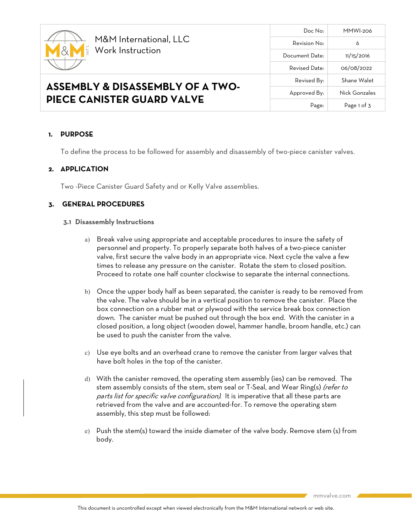

**PIECE CANISTER GUARD VALVE**

## Doc No: MMWI-206 Revision No: 6 Document Date: 11/15/2016 Revised Date: 06/08/2022 **ASSEMBLY & DISASSEMBLY OF A TWO-**Revised By: Shane Walet Approved By: Nick Gonzales Page: Page 1 of 3

### **1. PURPOSE**

To define the process to be followed for assembly and disassembly of two-piece canister valves.

### **2. APPLICATION**

Two -Piece Canister Guard Safety and or Kelly Valve assemblies.

### **3. GENERAL PROCEDURES**

#### **3.1 Disassembly Instructions**

- a) Break valve using appropriate and acceptable procedures to insure the safety of personnel and property. To properly separate both halves of a two-piece canister valve, first secure the valve body in an appropriate vice. Next cycle the valve a few times to release any pressure on the canister. Rotate the stem to closed position. Proceed to rotate one half counter clockwise to separate the internal connections.
- b) Once the upper body half as been separated, the canister is ready to be removed from the valve. The valve should be in a vertical position to remove the canister. Place the box connection on a rubber mat or plywood with the service break box connection down. The canister must be pushed out through the box end. With the canister in a closed position, a long object (wooden dowel, hammer handle, broom handle, etc.) can be used to push the canister from the valve.
- c) Use eye bolts and an overhead crane to remove the canister from larger valves that have bolt holes in the top of the canister.
- d) With the canister removed, the operating stem assembly (ies) can be removed. The stem assembly consists of the stem, stem seal or T-Seal, and Wear Ring(s) (refer to parts list for specific valve configuration). It is imperative that all these parts are retrieved from the valve and are accounted-for. To remove the operating stem assembly, this step must be followed:
- e) Push the stem(s) toward the inside diameter of the valve body. Remove stem (s) from body.

mmvalve.com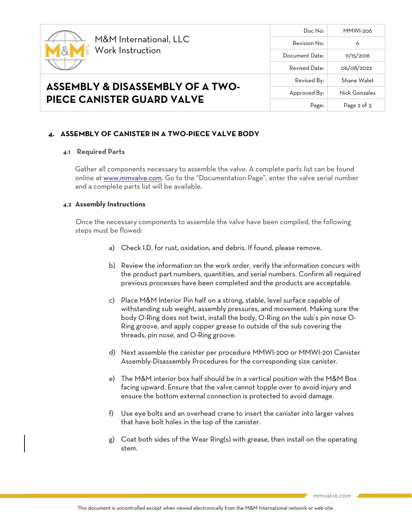

**ASSEMBLY & DISASSEMBLY OF A TWO-**

**PIECE CANISTER GUARD VALVE**

# Doc No: MMWI-206 Revision No: 6 Document Date: 11/15/2016 Revised Date: 06/08/2022 Revised By: Shane Walet Approved By: Nick Gonzales Page: Page 2 of 3

### **4. ASSEMBLY OF CANISTER IN A TWO-PIECE VALVE BODY**

### **4.1 Required Parts**

Gather all components necessary to assemble the valve. A complete parts list can be found online a[t www.mmvalve.com.](http://www.mmvalve.com/) Go to the "Documentation Page", enter the valve serial number and a complete parts list will be available.

#### **4.2 Assembly Instructions**

Once the necessary components to assemble the valve have been compiled, the following steps must be flowed:

- a) Check I.D. for rust, oxidation, and debris. If found, please remove.
- b) Review the information on the work order, verify the information concurs with the product part numbers, quantities, and serial numbers. Confirm all required previous processes have been completed and the products are acceptable.
- c) Place M&M Interior Pin half on a strong, stable, level surface capable of withstanding sub weight, assembly pressures, and movement. Making sure the body O-Ring does not twist, install the body, O-Ring on the sub's pin nose O-Ring groove, and apply copper grease to outside of the sub covering the threads, pin nose, and O-Ring groove.
- d) Next assemble the canister per procedure MMWI-200 or MMWI-201 Canister Assembly-Disassembly Procedures for the corresponding size canister.
- e) The M&M interior box half should be in a vertical position with the M&M Box facing upward. Ensure that the valve cannot topple over to avoid injury and ensure the bottom external connection is protected to avoid damage.
- f) Use eye bolts and an overhead crane to insert the canister into larger valves that have bolt holes in the top of the canister.
- g) Coat both sides of the Wear Ring(s) with grease, then install on the operating stem.

mmvalve.com